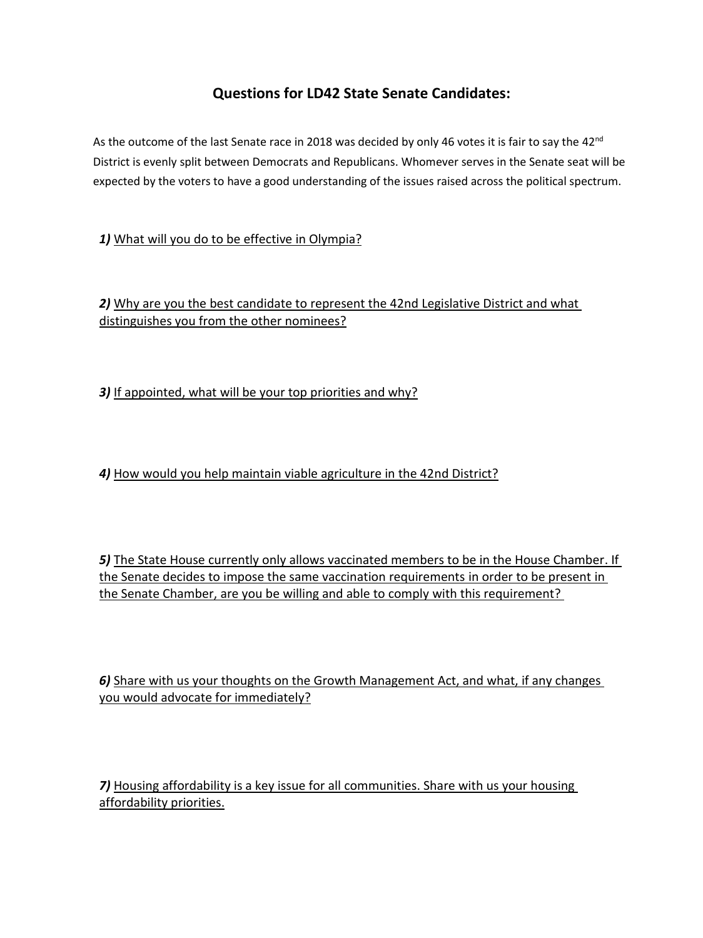## **Questions for LD42 State Senate Candidates:**

As the outcome of the last Senate race in 2018 was decided by only 46 votes it is fair to say the 42<sup>nd</sup> District is evenly split between Democrats and Republicans. Whomever serves in the Senate seat will be expected by the voters to have a good understanding of the issues raised across the political spectrum.

1) What will you do to be effective in Olympia?

*2)* Why are you the best candidate to represent the 42nd Legislative District and what distinguishes you from the other nominees?

*3)* If appointed, what will be your top priorities and why?

*4)* How would you help maintain viable agriculture in the 42nd District?

*5)* The State House currently only allows vaccinated members to be in the House Chamber. If the Senate decides to impose the same vaccination requirements in order to be present in the Senate Chamber, are you be willing and able to comply with this requirement?

*6)* Share with us your thoughts on the Growth Management Act, and what, if any changes you would advocate for immediately?

*7)* Housing affordability is a key issue for all communities. Share with us your housing affordability priorities.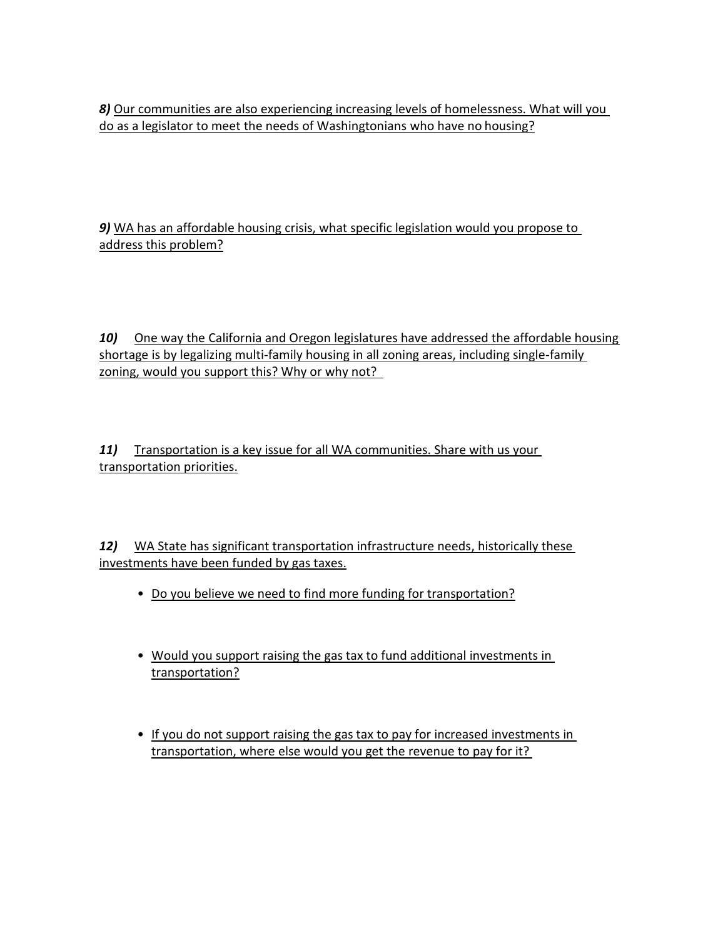*8)* Our communities are also experiencing increasing levels of homelessness. What will you do as a legislator to meet the needs of Washingtonians who have no housing?

*9)* WA has an affordable housing crisis, what specific legislation would you propose to address this problem?

10) One way the California and Oregon legislatures have addressed the affordable housing shortage is by legalizing multi-family housing in all zoning areas, including single-family zoning, would you support this? Why or why not?

11) Transportation is a key issue for all WA communities. Share with us your transportation priorities.

*12)* WA State has significant transportation infrastructure needs, historically these investments have been funded by gas taxes.

- Do you believe we need to find more funding for transportation?
- Would you support raising the gas tax to fund additional investments in transportation?
- If you do not support raising the gas tax to pay for increased investments in transportation, where else would you get the revenue to pay for it?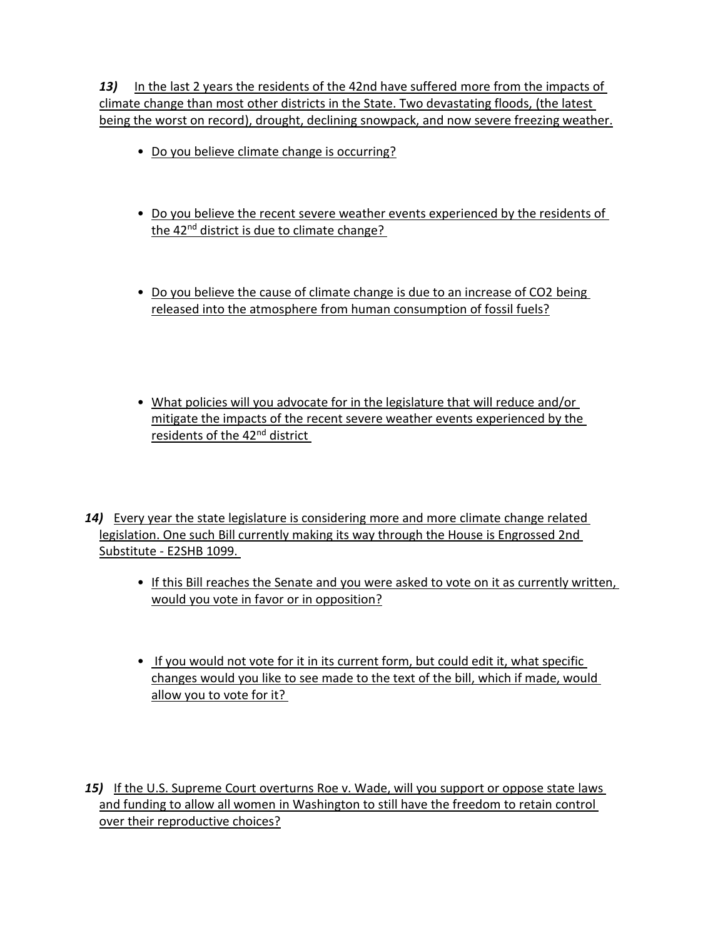*13)* In the last 2 years the residents of the 42nd have suffered more from the impacts of climate change than most other districts in the State. Two devastating floods, (the latest being the worst on record), drought, declining snowpack, and now severe freezing weather.

- Do you believe climate change is occurring?
- Do you believe the recent severe weather events experienced by the residents of the 42<sup>nd</sup> district is due to climate change?
- Do you believe the cause of climate change is due to an increase of CO2 being released into the atmosphere from human consumption of fossil fuels?
- What policies will you advocate for in the legislature that will reduce and/or mitigate the impacts of the recent severe weather events experienced by the residents of the 42nd district
- *14)* Every year the state legislature is considering more and more climate change related legislation. One such Bill currently making its way through the House is Engrossed 2nd Substitute - E2SHB 1099.
	- If this Bill reaches the Senate and you were asked to vote on it as currently written, would you vote in favor or in opposition?
	- If you would not vote for it in its current form, but could edit it, what specific changes would you like to see made to the text of the bill, which if made, would allow you to vote for it?
- *15)* If the U.S. Supreme Court overturns Roe v. Wade, will you support or oppose state laws and funding to allow all women in Washington to still have the freedom to retain control over their reproductive choices?